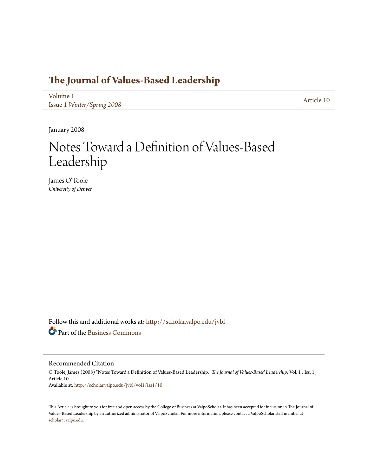# **[The Journal of Values-Based Leadership](http://scholar.valpo.edu/jvbl?utm_source=scholar.valpo.edu%2Fjvbl%2Fvol1%2Fiss1%2F10&utm_medium=PDF&utm_campaign=PDFCoverPages)**

[Volume 1](http://scholar.valpo.edu/jvbl/vol1?utm_source=scholar.valpo.edu%2Fjvbl%2Fvol1%2Fiss1%2F10&utm_medium=PDF&utm_campaign=PDFCoverPages) Issue 1 *[Winter/Spring 2008](http://scholar.valpo.edu/jvbl/vol1/iss1?utm_source=scholar.valpo.edu%2Fjvbl%2Fvol1%2Fiss1%2F10&utm_medium=PDF&utm_campaign=PDFCoverPages)* [Article 10](http://scholar.valpo.edu/jvbl/vol1/iss1/10?utm_source=scholar.valpo.edu%2Fjvbl%2Fvol1%2Fiss1%2F10&utm_medium=PDF&utm_campaign=PDFCoverPages)

January 2008

# Notes Toward a Definition of Values-Based Leadership

James O'Toole *University of Denver*

Follow this and additional works at: [http://scholar.valpo.edu/jvbl](http://scholar.valpo.edu/jvbl?utm_source=scholar.valpo.edu%2Fjvbl%2Fvol1%2Fiss1%2F10&utm_medium=PDF&utm_campaign=PDFCoverPages) Part of the [Business Commons](http://network.bepress.com/hgg/discipline/622?utm_source=scholar.valpo.edu%2Fjvbl%2Fvol1%2Fiss1%2F10&utm_medium=PDF&utm_campaign=PDFCoverPages)

Recommended Citation

O'Toole, James (2008) "Notes Toward a Definition of Values-Based Leadership," *The Journal of Values-Based Leadership*: Vol. 1 : Iss. 1 , Article 10. Available at: [http://scholar.valpo.edu/jvbl/vol1/iss1/10](http://scholar.valpo.edu/jvbl/vol1/iss1/10?utm_source=scholar.valpo.edu%2Fjvbl%2Fvol1%2Fiss1%2F10&utm_medium=PDF&utm_campaign=PDFCoverPages)

This Article is brought to you for free and open access by the College of Business at ValpoScholar. It has been accepted for inclusion in The Journal of Values-Based Leadership by an authorized administrator of ValpoScholar. For more information, please contact a ValpoScholar staff member at [scholar@valpo.edu.](mailto:scholar@valpo.edu)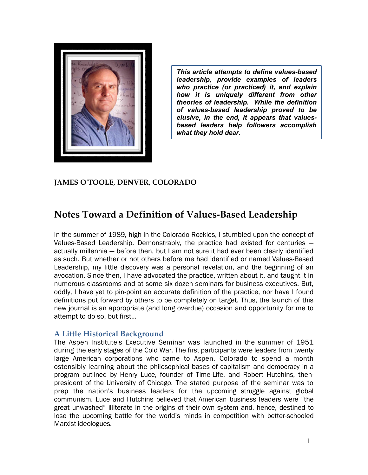

*This article attempts to define valuesbased Leadership, algoernize of this article attempts to define values-based***<br>***leadership, provide examples of leaders***<br>who practice (or practiced) it and explain** *This article attempts to define values-based*<br>*leadership, provide examples of leaders*<br>who practice (or practiced) it, and explain<br>how it is uniquely different from other *leadership, provide examples of leaders*<br>who practice (or practiced) it, and explain<br>how it is uniquely different from other *theories of practiced it, and explain*<br> *theories of leadership. While the definition*<br> *of values-based leadership proved to be how it is uniquely different from other*<br>*theories of leadership. While the definition*<br>*of values-based leadership proved to be*<br>elusive in the end it appears that values. *theories of leadership. While the definition*<br>*of values-based leadership proved to be*<br>*elusive, in the end, it appears that valuesof values-based leadership proved to be<br>elusive, in the end, it appears that values-<br>based leaders help followers accomplish what they hold dear.*

## **JAMES OʹTOOLE, DENVER, COLORADO**

# **Notes Toward a Definition of Values‑Based Leadership**

In the summer of 1989, high in the Colorado Rockies, I stumbled upon the concept of Values-Based Leadership. Demonstrably, the practice had existed for centuries actually millennia — before then, but I am not sure it had ever been clearly identified as such. But whether or not others before me had identified or named Values-Based Leadership, my little discovery was a personal revelation, and the beginning of an avocation. Since then, I have advocated the practice, written about it, and taught it in numerous classrooms and at some six dozen seminars for business executives. But, oddly, I have yet to pin-point an accurate definition of the practice, nor have I found definitions put forward by others to be completely on target. Thus, the launch of this new journal is an appropriate (and long overdue) occasion and opportunity for me to attempt to do so, but first…

#### **A Little Historical Background**

The Aspen Institute's Executive Seminar was launched in the summer of 1951 during the early stages of the Cold War. The first participants were leaders from twenty large American corporations who came to Aspen, Colorado to spend a month ostensibly learning about the philosophical bases of capitalism and democracy in a program outlined by Henry Luce, founder of Time-Life, and Robert Hutchins, thenpresident of the University of Chicago. The stated purpose of the seminar was to prep the nation's business leaders for the upcoming struggle against global communism. Luce and Hutchins believed that American business leaders were "the great unwashed" illiterate in the origins of their own system and, hence, destined to lose the upcoming battle for the world's minds in competition with better-schooled Marxist ideologues.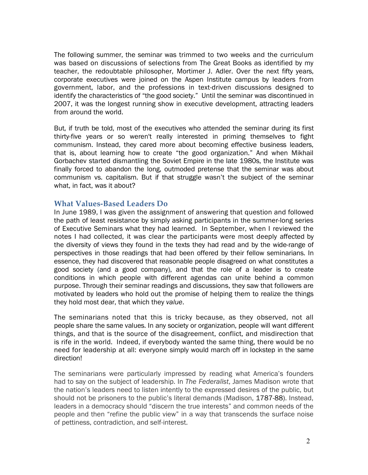The following summer, the seminar was trimmed to two weeks and the curriculum was based on discussions of selections from The Great Books as identified by my teacher, the redoubtable philosopher, Mortimer J. Adler. Over the next fifty years, corporate executives were joined on the Aspen Institute campus by leaders from government, labor, and the professions in text-driven discussions designed to identify the characteristics of "the good society." Until the seminar was discontinued in 2007, it was the longest running show in executive development, attracting leaders from around the world.

But, if truth be told, most of the executives who attended the seminar during its first thirty-five years or so weren't really interested in priming themselves to fight communism. Instead, they cared more about becoming effective business leaders, that is, about learning how to create "the good organization." And when Mikhail Gorbachev started dismantling the Soviet Empire in the late 1980s, the Institute was finally forced to abandon the long, outmoded pretense that the seminar was about communism vs. capitalism. But if that struggle wasn't the subject of the seminar what, in fact, was it about?

#### **What Values‑Based Leaders Do**

In June 1989, I was given the assignment of answering that question and followed the path of least resistance by simply asking participants in the summer-long series of Executive Seminars what they had learned. In September, when I reviewed the notes I had collected, it was clear the participants were most deeply affected by the diversity of views they found in the texts they had read and by the wide-range of perspectives in those readings that had been offered by their fellow seminarians. In essence, they had discovered that reasonable people disagreed on what constitutes a good society (and a good company), and that the role of a leader is to create conditions in which people with different agendas can unite behind a common purpose. Through their seminar readings and discussions, they saw that followers are motivated by leaders who hold out the promise of helping them to realize the things they hold most dear, that which they *value*.

The seminarians noted that this is tricky because, as they observed, not all people share the same values. In any society or organization, people will want different things, and that is the source of the disagreement, conflict, and misdirection that is rife in the world. Indeed, if everybody wanted the same thing, there would be no need for leadership at all: everyone simply would march off in lockstep in the same direction!

The seminarians were particularly impressed by reading what America's founders had to say on the subject of leadership. In *The Federalist*, James Madison wrote that the nation's leaders need to listen intently to the expressed desires of the public, but should not be prisoners to the public's literal demands (Madison, 1787-88). Instead, leaders in a democracy should "discern the true interests" and common needs of the people and then "refine the public view" in a way that transcends the surface noise of pettiness, contradiction, and self-interest.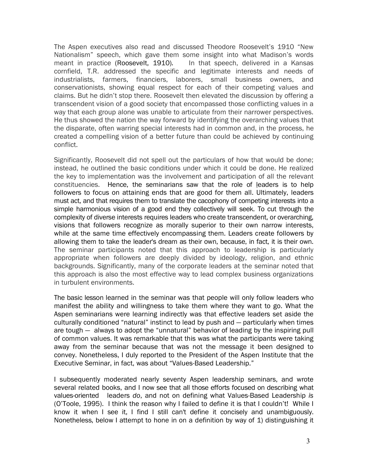The Aspen executives also read and discussed Theodore Roosevelt's 1910 "New Nationalism" speech, which gave them some insight into what Madison's words meant in practice (Roosevelt, 1910)*.* In that speech, delivered in a Kansas cornfield, T.R. addressed the specific and legitimate interests and needs of industrialists, farmers, financiers, laborers, small business owners, and conservationists, showing equal respect for each of their competing values and claims. But he didn't stop there. Roosevelt then elevated the discussion by offering a transcendent vision of a good society that encompassed those conflicting values in a way that each group alone was unable to articulate from their narrower perspectives. He thus showed the nation the way forward by identifying the overarching values that the disparate, often warring special interests had in common and, in the process, he created a compelling vision of a better future than could be achieved by continuing conflict.

Significantly, Roosevelt did not spell out the particulars of how that would be done; instead, he outlined the basic conditions under which it could be done. He realized the key to implementation was the involvement and participation of all the relevant constituencies. Hence, the seminarians saw that the role of leaders is to help followers to focus on attaining ends that are good for them all. Ultimately, leaders must act, and that requires them to translate the cacophony of competing interests into a simple harmonious vision of a good end they collectively will seek. To cut through the complexity of diverse interests requires leaders who create transcendent, or overarching, visions that followers recognize as morally superior to their own narrow interests, while at the same time effectively encompassing them. Leaders create followers by allowing them to take the leader's dream as their own, because, in fact, it is their own. The seminar participants noted that this approach to leadership is particularly appropriate when followers are deeply divided by ideology, religion, and ethnic backgrounds. Significantly, many of the corporate leaders at the seminar noted that this approach is also the most effective way to lead complex business organizations in turbulent environments.

The basic lesson learned in the seminar was that people will only follow leaders who manifest the ability and willingness to take them where they want to go. What the Aspen seminarians were learning indirectly was that effective leaders set aside the culturally conditioned "natural" instinct to lead by push and — particularly when times are tough — always to adopt the "unnatural" behavior of leading by the inspiring pull of common values. It was remarkable that this was what the participants were taking away from the seminar because that was not the message it been designed to convey. Nonetheless, I duly reported to the President of the Aspen Institute that the Executive Seminar, in fact, was about "Values-Based Leadership."

I subsequently moderated nearly seventy Aspen leadership seminars, and wrote several related books, and I now see that all those efforts focused on describing what values-oriented leaders *do*, and not on defining what Values-Based Leadership *is* (O'Toole, 1995). I think the reason why I failed to define it is that I couldn't! While I know it when I see it, I find I still can't define it concisely and unambiguously. Nonetheless, below I attempt to hone in on a definition by way of 1) distinguishing it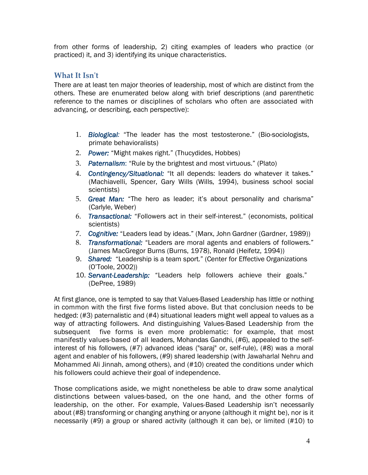from other forms of leadership, 2) citing examples of leaders who practice (or practiced) it, and 3) identifying its unique characteristics.

## **What It Isnʹt**

There are at least ten major theories of leadership, most of which are distinct from the others. These are enumerated below along with brief descriptions (and parenthetic reference to the names or disciplines of scholars who often are associated with advancing, or describing, each perspective):

- 1. *Biological:* "The leader has the most testosterone." (Bio-sociologists, primate behavioralists)
- 2. *Power:* "Might makes right." (Thucydides, Hobbes)
- 3. *Paternalism*: "Rule by the brightest and most virtuous." (Plato)
- 4. *Contingency/Situational:* "It all depends: leaders do whatever it takes." (Machiavelli, Spencer, Gary Wills (Wills, 1994), business school social scientists)
- 5. *Great Man:* "The hero as leader; it's about personality and charisma" scientists)<br>G*reat Man:* "The<br>(Carlyle, Weber)<br>Transestianel: "Es
- 6. *Transactional:* "Followers act in their self-interest." (economists, political 7. *Cognitive:* "Leaders lead by ideas." (Marx, John Gardner (Gardner, 1989)) scientists)
- 
- 8. *Transformational:* "Leaders are moral agents and enablers of followers." (James MacGregor Burns (Burns, 1978), Ronald (Heifetz, 1994))
- 9. *Shared:* "Leadership is a team sport." (Center for Effective Organizations (O'Toole, 2002))
- 10. *Servant-Leadership:* "Leaders help followers achieve their goals." (DePree, 1989)

At first glance, one is tempted to say that Values-Based Leadership has little or nothing in common with the first five forms listed above. But that conclusion needs to be hedged: (#3) paternalistic and (#4) situational leaders might well appeal to values as a way of attracting followers. And distinguishing Values-Based Leadership from the subsequent five forms is even more problematic: for example, that most manifestly values-based of all leaders, Mohandas Gandhi, (#6), appealed to the selfinterest of his followers, (#7) advanced ideas ("saraj" or, self-rule), (#8) was a moral manifestly values-based of all leaders, Mohandas Gandhi, (#6), appealed to the self-<br>interest of his followers, (#7) advanced ideas ("saraj" or, self-rule), (#8) was a moral<br>agent and enabler of his followers, (#9) shared Mohammed Ali Jinnah, among others), and (#10) created the conditions under which his followers could achieve their goal of independence.

Those complications aside, we might nonetheless be able to draw some analytical distinctions between values-based, on the one hand, and the other forms of leadership, on the other. For example, Values-Based Leadership isn't necessarily about (#8) transforming or changing anything or anyone (although i leadership, on the other. For example, Values-Based Leadership isn't necessarily necessarily (#9) a group or shared activity (although it can be), or limited (#10) to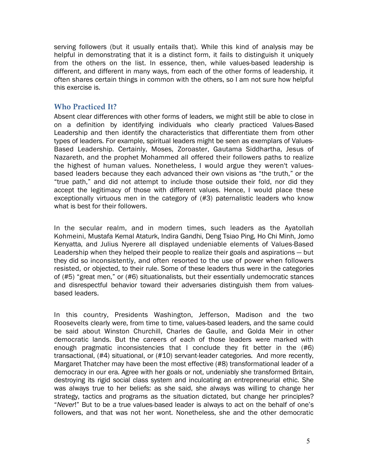serving followers (but it usually entails that). While this kind of analysis may be helpful in demonstrating that it is a distinct form, it fails to distinguish it uniquely from the others on the list. In essence, then, while values-based leadership is different, and different in many ways, from each of the other forms of leadership, it often shares certain things in common with the others, so I am not sure how helpful this exercise is.

#### **Who Practiced It?**

Absent clear differences with other forms of leaders, we might still be able to close in on a definition by identifying individuals who clearly practiced Values-Based Leadership and then identify the characteristics that differentiate them from other types of leaders. For example, spiritual leaders might be seen as exemplars of Values-Based Leadership. Certainly, Moses, Zoroaster, Gautama Siddhartha, Jesus of Nazareth, and the prophet Mohammed all offered their followers paths to realize the highest of human values. Nonetheless, I would argue they weren't valuesbased leaders because they each advanced their own visions as "the truth," or the "true path," and did not attempt to include those outside their fold, nor did they accept the legitimacy of those with different values. Hence, I would place these exceptionally virtuous men in the category of (#3) paternalistic leaders who know accept the legitimacy of those<br>exceptionally virtuous men in th<br>what is best for their followers.

In the secular realm, and in modern times, such leaders as the Ayatollah Kohmeini, Mustafa Kemal Ataturk, Indira Gandhi, Deng Tsiao Ping, Ho Chi Minh, Jomo Kenyatta, and Julius Nyerere all displayed undeniable elements of Values-Based Leadership when they helped their people to realize their goals and aspirations — but they did so inconsistently, and often resorted to the use of power when followers resisted, or objected, to their rule. Some of these leaders thus were in the categories of (#5) "great men," or (#6) situationalists, but their essentially undemocratic stances and disrespectful behavior toward their adversaries distinguish them from valuesbased leaders.

In this country, Presidents Washington, Jefferson, Madison and the two Roosevelts clearly were, from time to time, values-based leaders, and the same could be said about Winston Churchill, Charles de Gaulle, and Golda Meir in other democratic lands. But the careers of each of those leaders were marked with enough pragmatic inconsistencies that I conclude they fit better in the (#6) transactional, (#4) situational, or (#10) servant-leader categories. And more recently, Margaret Thatcher may have been the most effective (#8) transformational leader of a democracy in our era. Agree with her goals or not, undeniably she transformed Britain, destroying its rigid social class system and inculcating an entrepreneurial ethic. She was always true to her beliefs: as she said, she always was willing to change her strategy, tactics and programs as the situation dictated, but change her principles? "*Never*!" But to be a true values-based leader is always to act on the behalf of one's followers, and that was not her wont. Nonetheless, she and the other democratic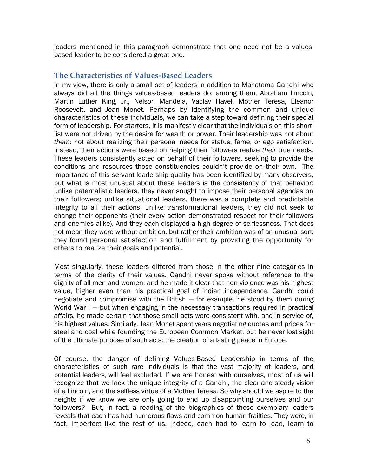leaders mentioned in this paragraph demonstrate that one need not be a valuesbased leader to be considered a great one.

## **The Characteristics of Values‑Based Leaders**

In my view, there is only a small set of leaders in addition to Mahatama Gandhi who always did all the things values-based leaders do: among them, Abraham Lincoln, Martin Luther King, Jr., Nelson Mandela, Vaclav Havel, Mother Teresa, Eleanor Roosevelt, and Jean Monet. Perhaps by identifying the common and unique characteristics of these individuals, we can take a step toward defining their special form of leadership. For starters, it is manifestly clear that the individuals on this shortlist were not driven by the desire for wealth or power. Their leadership was not about *them:* not about realizing their personal needs for status, fame, or ego satisfaction. Instead, their actions were based on helping their followers realize *their* true needs. These leaders consistently acted on behalf of their followers, seeking to provide the conditions and resources those constituencies couldn't provide on their own. The importance of this servant-leadership quality has been identified by many observers, but what is most unusual about these leaders is the consistency of that behavior: unlike paternalistic leaders, they never sought to impose their personal agendas on their followers; unlike situational leaders, there was a complete and predictable integrity to all their actions; unlike transformational leaders, they did not seek to change their opponents (their every action demonstrated respect for their followers and enemies alike). And they each displayed a high degree of selflessness. That does not mean they were without ambition, but rather their ambition was of an unusual sort: they found personal satisfaction and fulfillment by providing the opportunity for others to realize their goals and potential.

Most singularly, these leaders differed from those in the other nine categories in terms of the clarity of their values. Gandhi never spoke without reference to the dignity of all men and women; and he made it clear that non-violence was his highest value, higher even than his practical goal of Indian independence. Gandhi could negotiate and compromise with the British — for example, he stood by them during World War I – but when engaging in the necessary transactions required in practical affairs, he made certain that those small acts were consistent with, and in service of, his highest values. Similarly, Jean Monet spent ye affairs, he made certain that those small acts were consistent with, and in service of, steel and coal while founding the European Common Market, but he never lost sight his highest values. Similarly, Jean Monet spent years negotiating quotas and prices for<br>steel and coal while founding the European Common Market, but he never lost sight<br>of the ultimate purpose of such acts: the creation o

Of course, the danger of defining Values-Based Leadership in terms of the characteristics of such rare individuals is that the vast majority of leaders, and potential leaders, will feel excluded. If we are honest with ourselves, most of us will recognize that we lack the unique integrity of a Gandhi, the clear and steady vision of a Lincoln, and the selfless virtue of a Mother Teresa. So why should we aspire to the heights if we know we are only going to end up disappointing ourselves and our followers? But, in fact, a reading of the biographies of those exemplary leaders reveals that each has had numerous flaws and common human frailties. They were, in fact, imperfect like the rest of us. Indeed, each had to learn to lead, learn to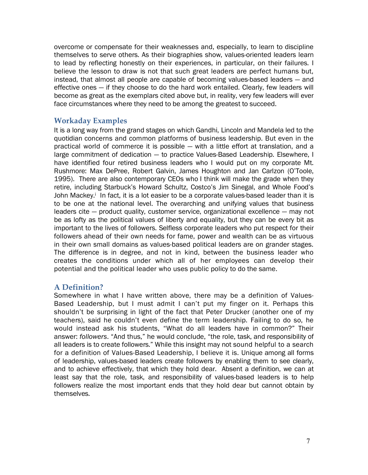overcome or compensate for their weaknesses and, especially, to learn to discipline themselves to serve others. As their biographies show, values-oriented leaders learn to lead by reflecting honestly on their experiences, in particular, on their failures. I believe the lesson to draw is not that such great leaders are perfect humans but, instead, that almost all people are capable of becoming values-based leaders — and effective ones — if they choose to do the hard work entailed. Clearly, few leaders will instead, that almost all people are capable of becoming values-based leaders — and<br>effective ones — if they choose to do the hard work entailed. Clearly, few leaders will<br>become as great as the exemplars cited above but, i effective ones – if they choose to do the hard work entailed. Clearly, few leftecome as great as the exemplars cited above but, in reality, very few leade face circumstances where they need to be among the greatest to succ

#### **Workaday Examples**

It is a long way from the grand stages on which Gandhi, Lincoln and Mandela led to the quotidian concerns and common platforms of business leadership. But even in the practical world of commerce it is possible — with a little effort at translation, and a large commitment of dedication — to practice Values-Based Leadership. Elsewhere, I have identified four retired business leaders who I would put on my corporate Mt. Rushmore: Max DePree, Robert Galvin, James Houghton and Jan Carlzon (O'Toole, 1995). There are also contemporary CEOs who I think will make the grade when they retire, including Starbuck's Howard Schultz, Costco's Jim Sinegal, and Whole Food's John Mackey.<sup>i</sup> In fact, it is a lot easier to be a corporate values-based leader than it is to be one at the national level. The overarching and unifying values that business leaders cite — product quality, customer service, organizational excellence — may not be as lofty as the political values of liberty and equality, but they can be every bit as important to the lives of followers. Selfless corporate leaders who put respect for their followers ahead of their own needs for fame, power and wealth can be as virtuous in their own small domains as values-based political leaders are on grander stages. The difference is in degree, and not in kind, between the business leader who creates the conditions under which all of her employees can develop their potential and the political leader who uses public policy to do the same.

#### **A Definition?**

Somewhere in what I have written above, there may be a definition of Values-Based Leadership, but I must admit I can't put my finger on it. Perhaps this shouldn't be surprising in light of the fact that Peter Drucker (another one of my teachers), said he couldn't even define the term leadership. Failing to do so, he would instead ask his students, "What do all leaders have in common?" Their answer: *followers*. "And thus," he would conclude, "the role, task, and responsibility of would instead ask his students, "What do all leaders have in common?" Their<br>answer: followers. "And thus," he would conclude, "the role, task, and responsibility of<br>all leaders is to create followers." While this insight m for a definition of Values-Based Leadership, I believe it is. Unique among all forms of leadership, values-based leaders create followers by enabling them to see clearly, and to achieve effectively, that which they hold dear. Absent a definition, we can at least say that the role, task, and responsibility of values-based leaders is to help followers realize the most important ends that they hold dear but cannot obtain by themselves.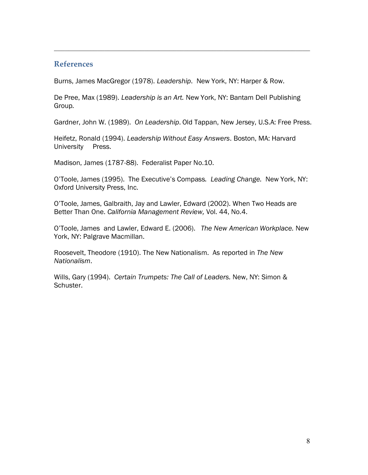#### **References**

Burns, James MacGregor (1978). *Leadership*. New York, NY: Harper & Row.

De Pree, Max (1989). *Leadership is an Art.* New York, NY: Bantam Dell Publishing Group*.*

Gardner, John W. (1989). *On Leadership*. Old Tappan, New Jersey, U.S.A: Free Press.

 $\_$  , and the set of the set of the set of the set of the set of the set of the set of the set of the set of the set of the set of the set of the set of the set of the set of the set of the set of the set of the set of th

Heifetz, Ronald (1994). *Leadership Without Easy Answers*. Boston, MA: Harvard University Press.

Madison, James (1787-88). Federalist Paper No.10.

O'Toole, James (1995). The Executive's Compass*. Leading Change.* New York, NY: Oxford University Press, Inc.

O'Toole, James, Galbraith, Jay and Lawler, Edward (2002). When Two Heads are Better Than One. *California Management Review,* Vol. 44, No.4.

O'Toole, James and Lawler, Edward E. (2006). *The New American Workplace.* New O'Toole, James and Lawler, Edw<br>York, NY: Palgrave Macmillan.

York, NY: Palgrave Macmillan.<br>Roosevelt, Theodore (1910). The New Nationalism. As reported in *The New Nationalism.* 

*Nationalism*. Wills, Gary (1994). *Certain Trumpets: The Call of Leaders.* New, NY: Simon & Schuster.